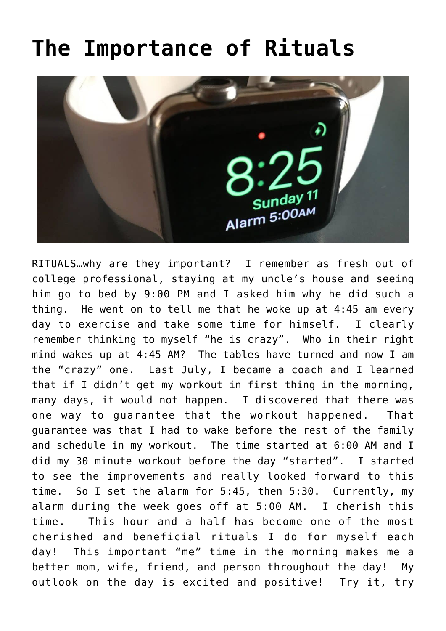## **[The Importance of Rituals](https://alethiatruefit.com/uncategorized/the-importance-of-rituals/)**



RITUALS…why are they important? I remember as fresh out of college professional, staying at my uncle's house and seeing him go to bed by 9:00 PM and I asked him why he did such a thing. He went on to tell me that he woke up at 4:45 am every day to exercise and take some time for himself. I clearly remember thinking to myself "he is crazy". Who in their right mind wakes up at 4:45 AM? The tables have turned and now I am the "crazy" one. Last July, I became a coach and I learned that if I didn't get my workout in first thing in the morning, many days, it would not happen. I discovered that there was one way to guarantee that the workout happened. That guarantee was that I had to wake before the rest of the family and schedule in my workout. The time started at 6:00 AM and I did my 30 minute workout before the day "started". I started to see the improvements and really looked forward to this time. So I set the alarm for 5:45, then 5:30. Currently, my alarm during the week goes off at 5:00 AM. I cherish this time. This hour and a half has become one of the most cherished and beneficial rituals I do for myself each day! This important "me" time in the morning makes me a better mom, wife, friend, and person throughout the day! My outlook on the day is excited and positive! Try it, try